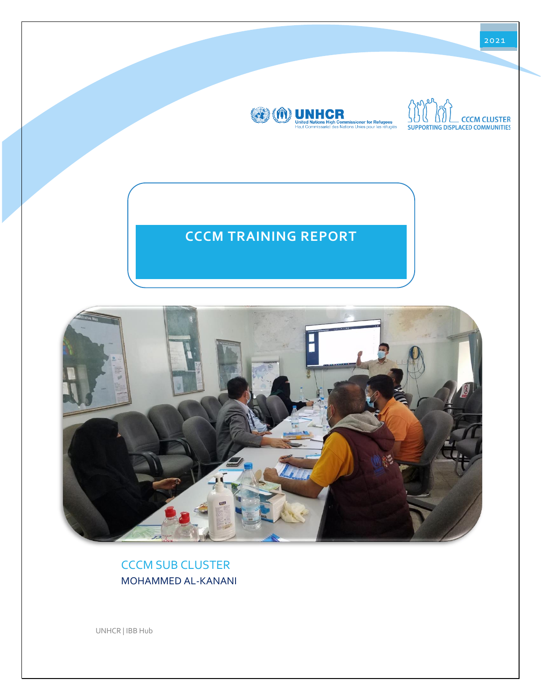

CCCM SUB CLUSTER MOHAMMED AL-KANANI

UNHCR | IBB Hub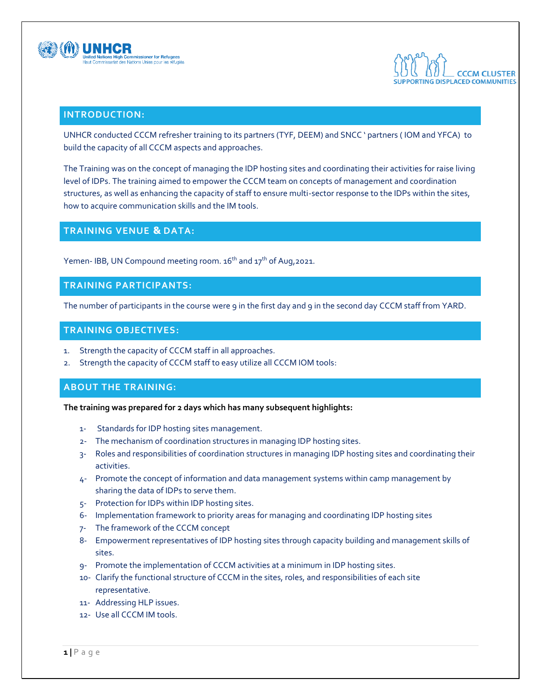



# **INTRODUCTION:**

UNHCR conducted CCCM refresher training to its partners (TYF, DEEM) and SNCC ' partners ( IOM and YFCA) to build the capacity of all CCCM aspects and approaches.

The Training was on the concept of managing the IDP hosting sites and coordinating their activities for raise living level of IDPs. The training aimed to empower the CCCM team on concepts of management and coordination structures, as well as enhancing the capacity of staff to ensure multi-sector response to the IDPs within the sites, how to acquire communication skills and the IM tools.

# **TRAINING VENUE & DATA:**

Yemen- IBB, UN Compound meeting room. 16<sup>th</sup> and 17<sup>th</sup> of Aug,2021.

#### **TRAINING PARTICIPANTS:**

The number of participants in the course were 9 in the first day and 9 in the second day CCCM staff from YARD.

# **TRAINING OBJECTIVES:**

- 1. Strength the capacity of CCCM staff in all approaches.
- 2. Strength the capacity of CCCM staff to easy utilize all CCCM IOM tools:

# **ABOUT THE TRAINING:**

**The training was prepared for 2 days which has many subsequent highlights:**

- 1- Standards for IDP hosting sites management.
- 2- The mechanism of coordination structures in managing IDP hosting sites.
- 3- Roles and responsibilities of coordination structures in managing IDP hosting sites and coordinating their activities.
- 4- Promote the concept of information and data management systems within camp management by sharing the data of IDPs to serve them.
- 5- Protection for IDPs within IDP hosting sites.
- 6- Implementation framework to priority areas for managing and coordinating IDP hosting sites
- 7- The framework of the CCCM concept
- 8- Empowerment representatives of IDP hosting sites through capacity building and management skills of sites.
- 9- Promote the implementation of CCCM activities at a minimum in IDP hosting sites.
- 10- Clarify the functional structure of CCCM in the sites, roles, and responsibilities of each site representative.
- 11- Addressing HLP issues.
- 12- Use all CCCM IM tools.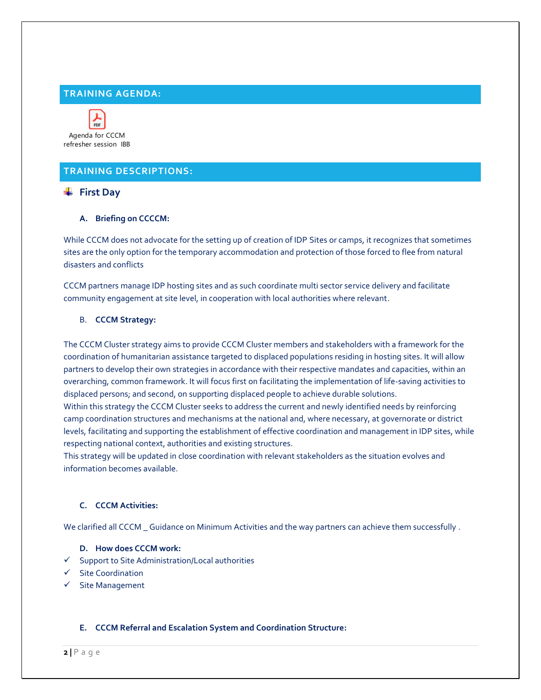# **TRAINING AGENDA:**



refresher session IBB

# **TRAINING DESCRIPTIONS:**

# **First Day**

#### **A. Briefing on CCCCM:**

While CCCM does not advocate for the setting up of creation of IDP Sites or camps, it recognizes that sometimes sites are the only option for the temporary accommodation and protection of those forced to flee from natural disasters and conflicts

CCCM partners manage IDP hosting sites and as such coordinate multi sector service delivery and facilitate community engagement at site level, in cooperation with local authorities where relevant.

#### B. **CCCM Strategy:**

The CCCM Cluster strategy aims to provide CCCM Cluster members and stakeholders with a framework for the coordination of humanitarian assistance targeted to displaced populations residing in hosting sites. It will allow partners to develop their own strategies in accordance with their respective mandates and capacities, within an overarching, common framework. It will focus first on facilitating the implementation of life-saving activities to displaced persons; and second, on supporting displaced people to achieve durable solutions.

Within this strategy the CCCM Cluster seeks to address the current and newly identified needs by reinforcing camp coordination structures and mechanisms at the national and, where necessary, at governorate or district levels, facilitating and supporting the establishment of effective coordination and management in IDP sites, while respecting national context, authorities and existing structures.

This strategy will be updated in close coordination with relevant stakeholders as the situation evolves and information becomes available.

# **C. CCCM Activities:**

We clarified all CCCM Guidance on Minimum Activities and the way partners can achieve them successfully .

#### **D. How does CCCM work:**

- ✓ Support to Site Administration/Local authorities
- ✓ Site Coordination
- ✓ Site Management

#### **E. CCCM Referral and Escalation System and Coordination Structure:**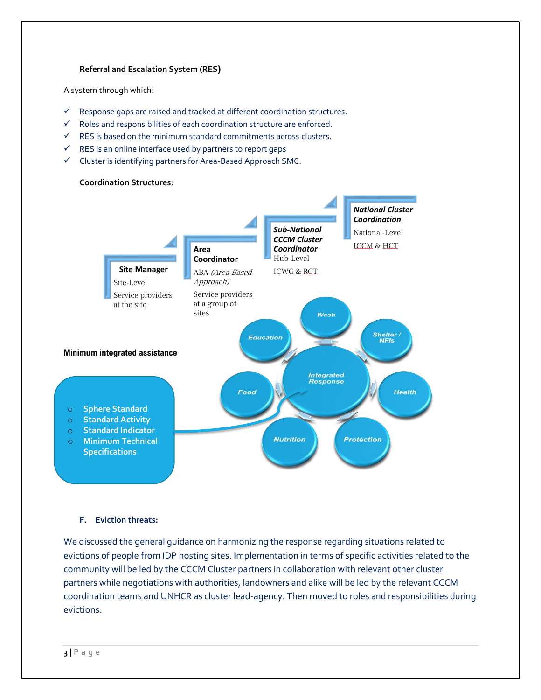#### **Referral and Escalation System (RES)**

A system through which:

- ✓ Response gaps are raised and tracked at different coordination structures.
- ✓ Roles and responsibilities of each coordination structure are enforced.
- $\checkmark$  RES is based on the minimum standard commitments across clusters.
- $\checkmark$  RES is an online interface used by partners to report gaps
- ✓ Cluster is identifying partners for Area-Based Approach SMC.



#### **F. Eviction threats:**

We discussed the general guidance on harmonizing the response regarding situations related to evictions of people from IDP hosting sites. Implementation in terms of specific activities related to the community will be led by the CCCM Cluster partners in collaboration with relevant other cluster partners while negotiations with authorities, landowners and alike will be led by the relevant CCCM coordination teams and UNHCR as cluster lead-agency. Then moved to roles and responsibilities during evictions.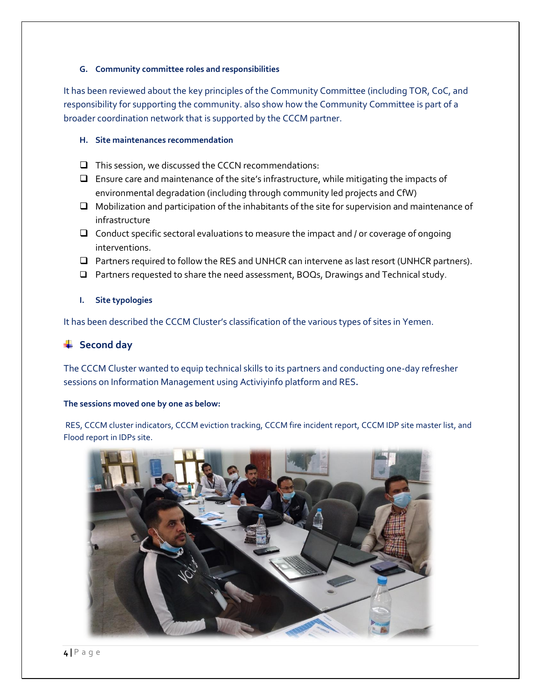#### **G. Community committee roles and responsibilities**

It has been reviewed about the key principles of the Community Committee (including TOR, CoC, and responsibility for supporting the community. also show how the Community Committee is part of a broader coordination network that is supported by the CCCM partner.

## **H. Site maintenances recommendation**

- ❑ This session, we discussed the CCCN recommendations:
- ❑ Ensure care and maintenance of the site's infrastructure, while mitigating the impacts of environmental degradation (including through community led projects and CfW)
- ❑ Mobilization and participation of the inhabitants of the site for supervision and maintenance of infrastructure
- ❑ Conduct specific sectoral evaluations to measure the impact and / or coverage of ongoing interventions.
- ❑ Partners required to follow the RES and UNHCR can intervene as last resort (UNHCR partners).
- ❑ Partners requested to share the need assessment, BOQs, Drawings and Technical study.
- **I. Site typologies**

It has been described the CCCM Cluster's classification of the various types of sites in Yemen.

# **↓** Second day

The CCCM Cluster wanted to equip technical skills to its partners and conducting one-day refresher sessions on Information Management using Activiyinfo platform and RES**.**

# **The sessions moved one by one as below:**

RES, CCCM cluster indicators, CCCM eviction tracking, CCCM fire incident report, CCCM IDP site master list, and Flood report in IDPs site.